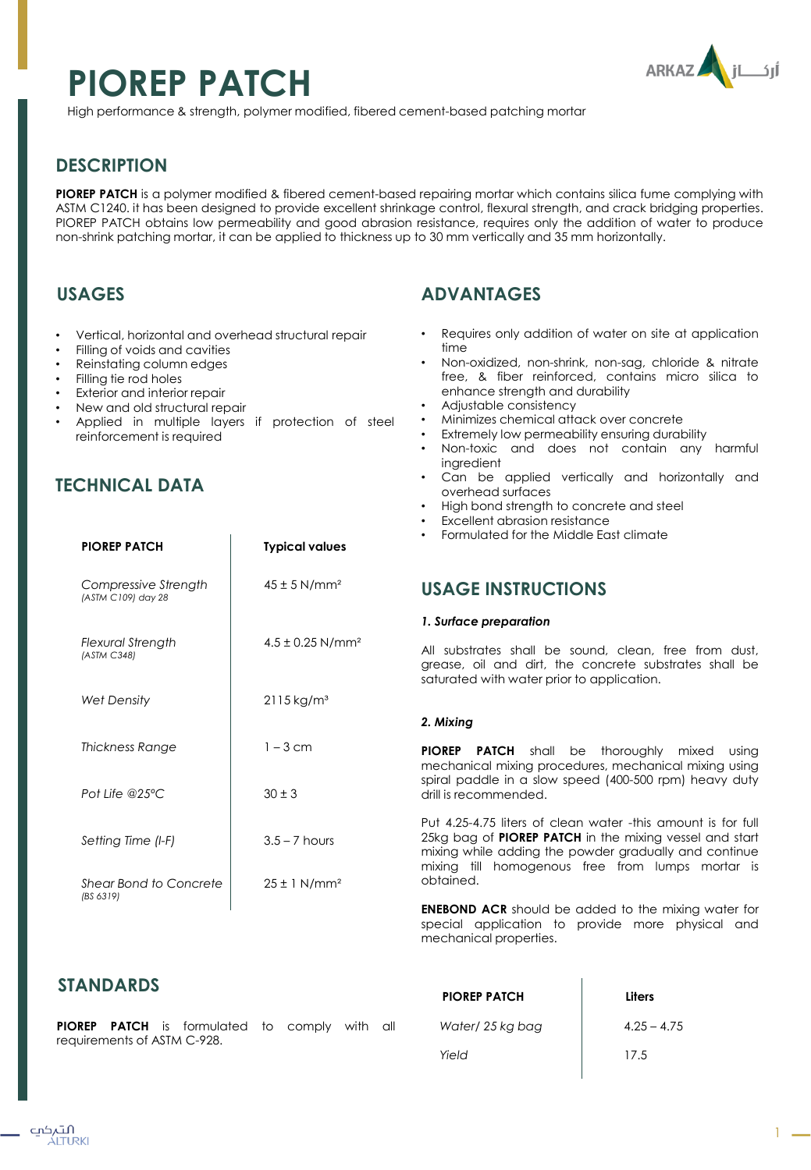# **PIOREP PATCH**



High performance & strength, polymer modified, fibered cement-based patching mortar

# **DESCRIPTION**

**PIOREP PATCH** is a polymer modified & fibered cement-based repairing mortar which contains silica fume complying with ASTM C1240. it has been designed to provide excellent shrinkage control, flexural strength, and crack bridging properties. PIOREP PATCH obtains low permeability and good abrasion resistance, requires only the addition of water to produce non-shrink patching mortar, it can be applied to thickness up to 30 mm vertically and 35 mm horizontally.

## **USAGES**

- Vertical, horizontal and overhead structural repair
- Filling of voids and cavities
- Reinstating column edges
- Filling tie rod holes
- **Exterior and interior repair**
- New and old structural repair
- Applied in multiple layers if protection of steel reinforcement is required

# **TECHNICAL DATA**

| <b>PIOREP PATCH</b>                        | <b>Typical values</b>            |
|--------------------------------------------|----------------------------------|
| Compressive Strength<br>(ASTM C109) day 28 | $45 \pm 5$ N/mm <sup>2</sup>     |
| Flexural Strength<br>(ASTM C348)           | $4.5 \pm 0.25$ N/mm <sup>2</sup> |
| <b>Wet Density</b>                         | $2115 \,\mathrm{kg/m^3}$         |
| Thickness Range                            | $1 - 3$ cm                       |
| Pot Life @25°C                             | $30 \pm 3$                       |
| Setting Time (I-F)                         | $3.5 - 7$ hours                  |
| <b>Shear Bond to Concrete</b><br>(BS 6319) | $25 \pm 1$ N/mm <sup>2</sup>     |

## **STANDARDS**

**PIOREP PATCH** is formulated to comply with all requirements of ASTM C-928.

# **ADVANTAGES**

- Requires only addition of water on site at application time
- Non-oxidized, non-shrink, non-sag, chloride & nitrate free, & fiber reinforced, contains micro silica to enhance strength and durability
- Adjustable consistency
- Minimizes chemical attack over concrete
- Extremely low permeability ensuring durability
- Non-toxic and does not contain any harmful ingredient
- Can be applied vertically and horizontally and overhead surfaces
- High bond strength to concrete and steel
- Excellent abrasion resistance
- Formulated for the Middle East climate

## **USAGE INSTRUCTIONS**

## *1. Surface preparation*

All substrates shall be sound, clean, free from dust, grease, oil and dirt, the concrete substrates shall be saturated with water prior to application.

## *2. Mixing*

**PIOREP PATCH** shall be thoroughly mixed using mechanical mixing procedures, mechanical mixing using spiral paddle in a slow speed (400-500 rpm) heavy duty drill is recommended.

Put 4.25-4.75 liters of clean water -this amount is for full 25kg bag of **PIOREP PATCH** in the mixing vessel and start mixing while adding the powder gradually and continue mixing till homogenous free from lumps mortar is obtained.

**ENEBOND ACR** should be added to the mixing water for special application to provide more physical and mechanical properties.

 $\overline{\phantom{a}}$ 

| <b>PIOREP PATCH</b> | Liters        |
|---------------------|---------------|
| Water/25 kg bag     | $4.25 - 4.75$ |
| Yield               | 17.5          |